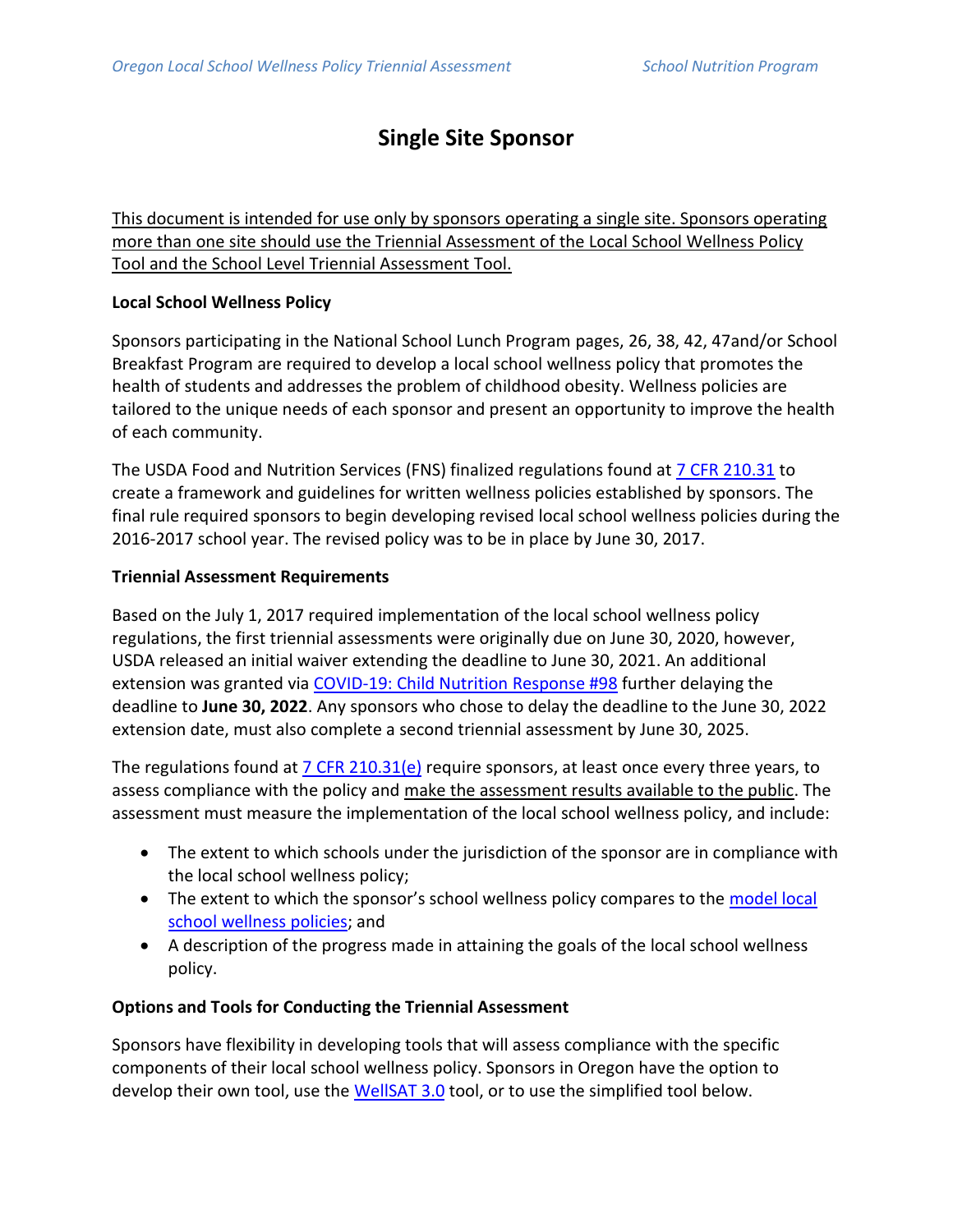## **Single Site Sponsor**

This document is intended for use only by sponsors operating a single site. Sponsors operating more than one site should use the Triennial Assessment of the Local School Wellness Policy Tool and the School Level Triennial Assessment Tool.

#### **Local School Wellness Policy**

Sponsors participating in the National School Lunch Program pages, 26, 38, 42, 47and/or School Breakfast Program are required to develop a local school wellness policy that promotes the health of students and addresses the problem of childhood obesity. Wellness policies are tailored to the unique needs of each sponsor and present an opportunity to improve the health of each community.

The USDA Food and Nutrition Services (FNS) finalized regulations found at [7 CFR 210.31](https://www.ecfr.gov/current/title-7/subtitle-B/chapter-II/subchapter-A/part-210#210.31) to create a framework and guidelines for written wellness policies established by sponsors. The final rule required sponsors to begin developing revised local school wellness policies during the 2016-2017 school year. The revised policy was to be in place by June 30, 2017.

#### **Triennial Assessment Requirements**

Based on the July 1, 2017 required implementation of the local school wellness policy regulations, the first triennial assessments were originally due on June 30, 2020, however, USDA released an initial waiver extending the deadline to June 30, 2021. An additional extension was granted via [COVID-19: Child Nutrition Response #98](https://fns-prod.azureedge.net/sites/default/files/resource-files/covid-19-child-nutrition-response-98.pdf) further delaying the deadline to **June 30, 2022**. Any sponsors who chose to delay the deadline to the June 30, 2022 extension date, must also complete a second triennial assessment by June 30, 2025.

The regulations found at  $7$  CFR 210.31(e) require sponsors, at least once every three years, to assess compliance with the policy and make the assessment results available to the public. The assessment must measure the implementation of the local school wellness policy, and include:

- The extent to which schools under the jurisdiction of the sponsor are in compliance with the local school wellness policy;
- The extent to which the sponsor's school wellness policy compares to the [model local](https://www.oregon.gov/ode/students-and-family/childnutrition/SNP/Documents/EFA%20G1.pdf)  [school wellness policies;](https://www.oregon.gov/ode/students-and-family/childnutrition/SNP/Documents/EFA%20G1.pdf) and
- A description of the progress made in attaining the goals of the local school wellness policy.

## **Options and Tools for Conducting the Triennial Assessment**

Sponsors have flexibility in developing tools that will assess compliance with the specific components of their local school wellness policy. Sponsors in Oregon have the option to develop their own tool, use the [WellSAT 3.0](https://wellsatsuite.chip.uconn.edu/wellsat-3-0/) tool, or to use the simplified tool below.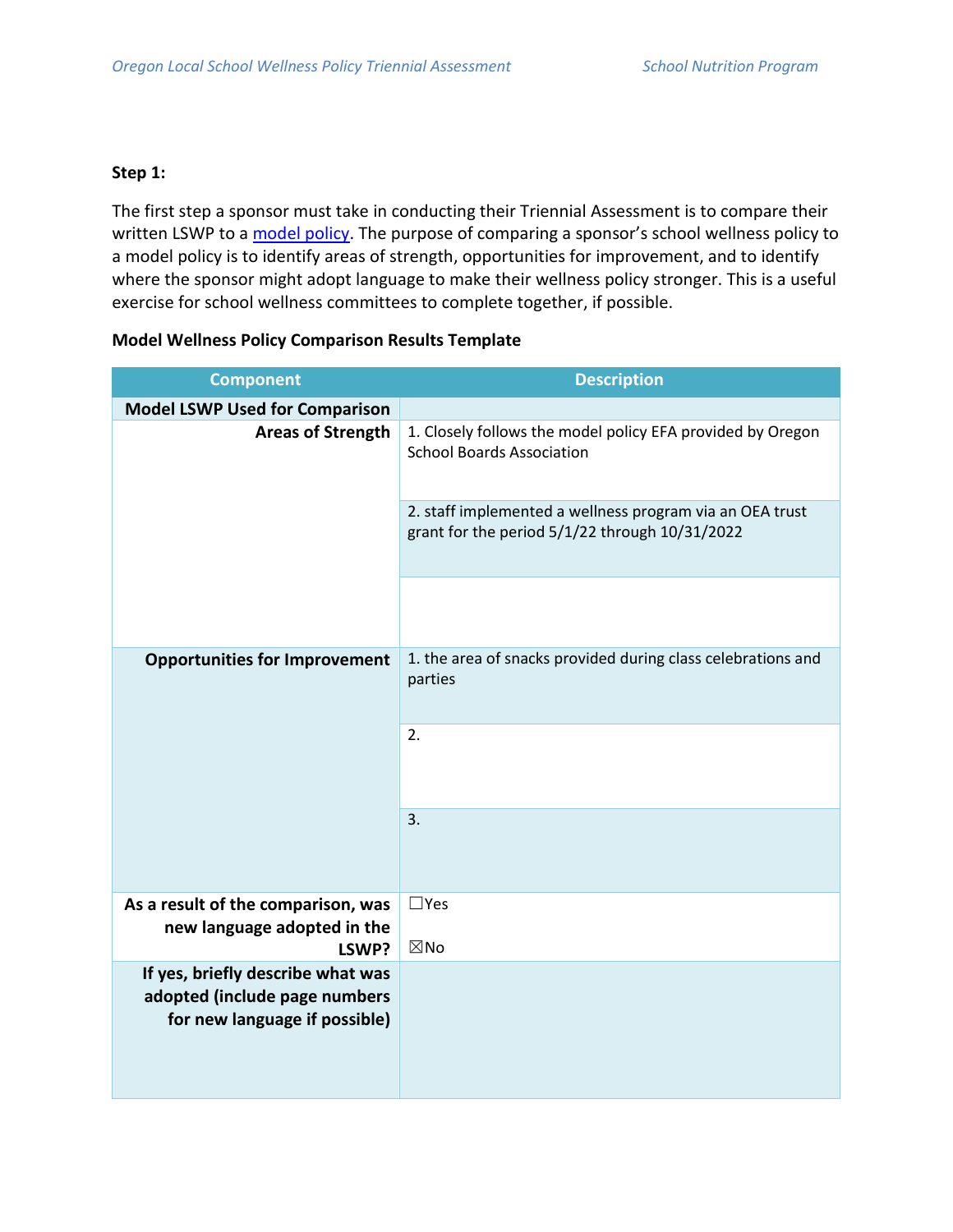#### **Step 1:**

The first step a sponsor must take in conducting their Triennial Assessment is to compare their written LSWP to a [model policy](https://www.oregon.gov/ode/students-and-family/childnutrition/SNP/Documents/EFA%20G1.pdf). The purpose of comparing a sponsor's school wellness policy to a model policy is to identify areas of strength, opportunities for improvement, and to identify where the sponsor might adopt language to make their wellness policy stronger. This is a useful exercise for school wellness committees to complete together, if possible.

#### **Model Wellness Policy Comparison Results Template**

| <b>Component</b>                                                                                    | <b>Description</b>                                                                                         |  |
|-----------------------------------------------------------------------------------------------------|------------------------------------------------------------------------------------------------------------|--|
| <b>Model LSWP Used for Comparison</b>                                                               |                                                                                                            |  |
| <b>Areas of Strength</b>                                                                            | 1. Closely follows the model policy EFA provided by Oregon<br><b>School Boards Association</b>             |  |
|                                                                                                     | 2. staff implemented a wellness program via an OEA trust<br>grant for the period 5/1/22 through 10/31/2022 |  |
|                                                                                                     |                                                                                                            |  |
| <b>Opportunities for Improvement</b>                                                                | 1. the area of snacks provided during class celebrations and<br>parties                                    |  |
|                                                                                                     | 2.                                                                                                         |  |
|                                                                                                     | 3.                                                                                                         |  |
| As a result of the comparison, was<br>new language adopted in the<br>LSWP?                          | $\Box$ Yes<br>$\boxtimes$ No                                                                               |  |
| If yes, briefly describe what was<br>adopted (include page numbers<br>for new language if possible) |                                                                                                            |  |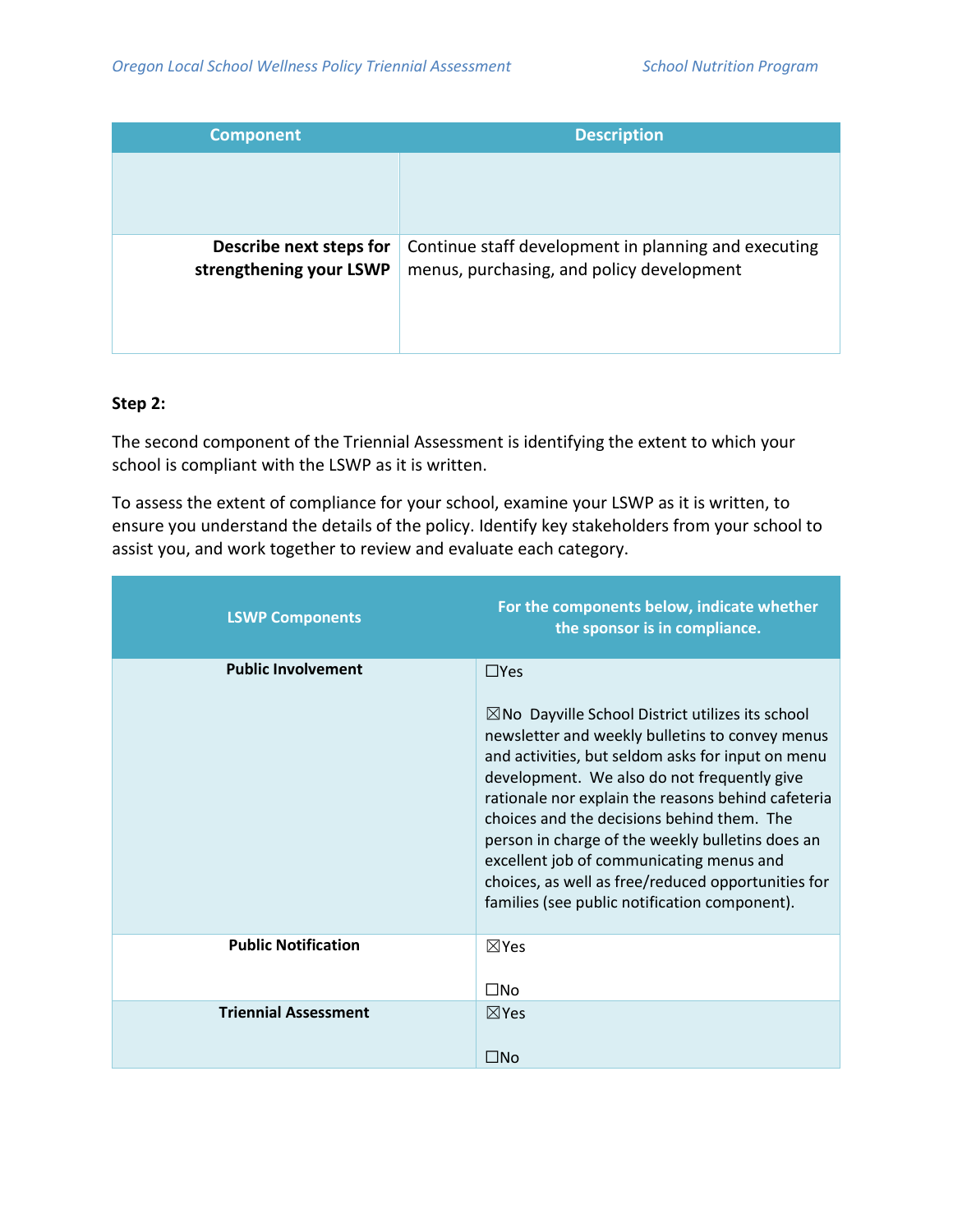| <b>Component</b>                                   | <b>Description</b>                                                                                |
|----------------------------------------------------|---------------------------------------------------------------------------------------------------|
|                                                    |                                                                                                   |
| Describe next steps for<br>strengthening your LSWP | Continue staff development in planning and executing<br>menus, purchasing, and policy development |

#### **Step 2:**

The second component of the Triennial Assessment is identifying the extent to which your school is compliant with the LSWP as it is written.

To assess the extent of compliance for your school, examine your LSWP as it is written, to ensure you understand the details of the policy. Identify key stakeholders from your school to assist you, and work together to review and evaluate each category.

| <b>LSWP Components</b>      | For the components below, indicate whether<br>the sponsor is in compliance.                                                                                                                                                                                                                                                                                                                                                                                                                                                   |
|-----------------------------|-------------------------------------------------------------------------------------------------------------------------------------------------------------------------------------------------------------------------------------------------------------------------------------------------------------------------------------------------------------------------------------------------------------------------------------------------------------------------------------------------------------------------------|
| <b>Public Involvement</b>   | $\Box$ Yes                                                                                                                                                                                                                                                                                                                                                                                                                                                                                                                    |
|                             | $\boxtimes$ No Dayville School District utilizes its school<br>newsletter and weekly bulletins to convey menus<br>and activities, but seldom asks for input on menu<br>development. We also do not frequently give<br>rationale nor explain the reasons behind cafeteria<br>choices and the decisions behind them. The<br>person in charge of the weekly bulletins does an<br>excellent job of communicating menus and<br>choices, as well as free/reduced opportunities for<br>families (see public notification component). |
| <b>Public Notification</b>  | $\nabla$ Yes                                                                                                                                                                                                                                                                                                                                                                                                                                                                                                                  |
|                             | $\square$ No                                                                                                                                                                                                                                                                                                                                                                                                                                                                                                                  |
| <b>Triennial Assessment</b> | $\nabla$ Yes                                                                                                                                                                                                                                                                                                                                                                                                                                                                                                                  |
|                             | $\square$ No                                                                                                                                                                                                                                                                                                                                                                                                                                                                                                                  |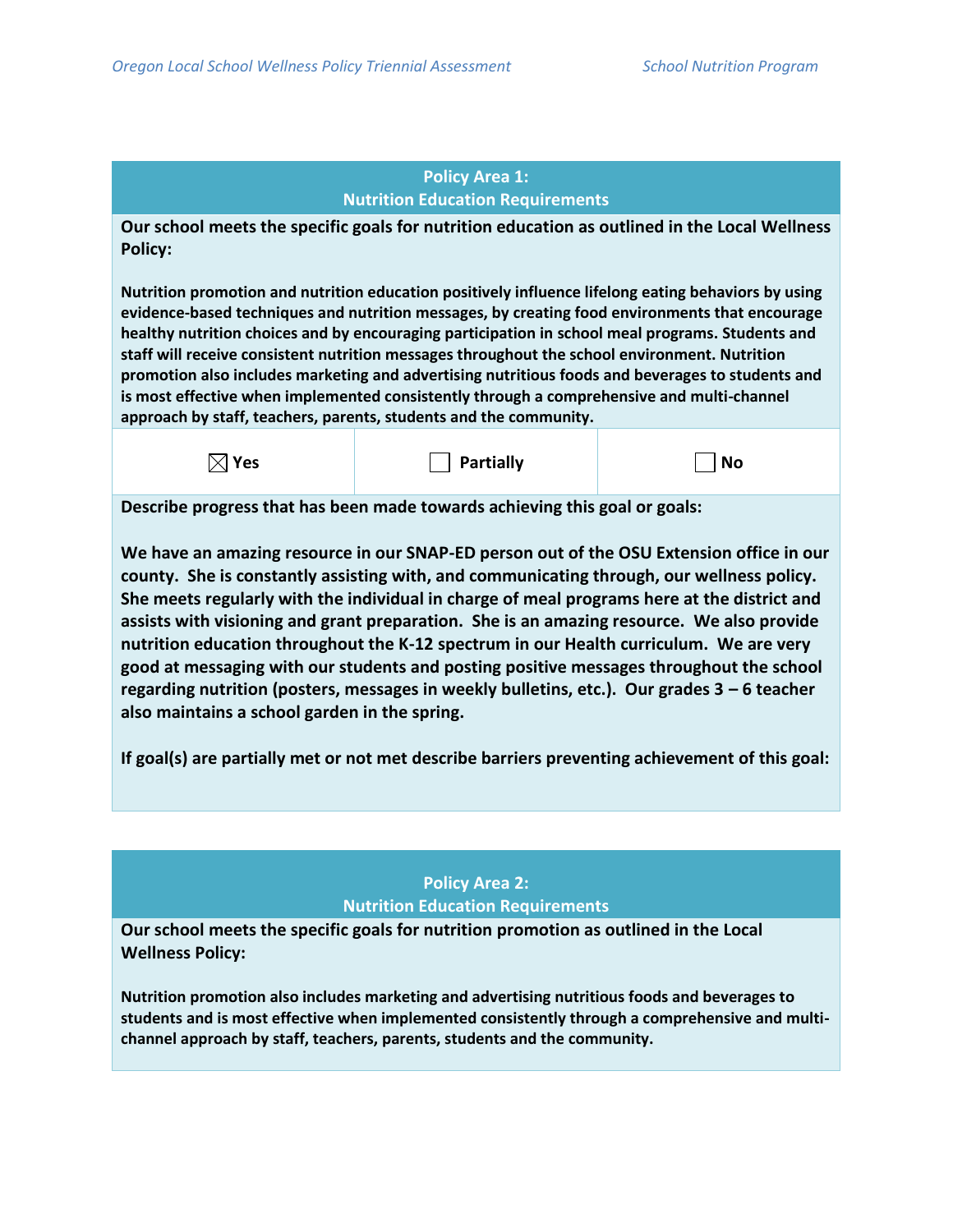#### **Policy Area 1: Nutrition Education Requirements**

**Our school meets the specific goals for nutrition education as outlined in the Local Wellness Policy:**

**Nutrition promotion and nutrition education positively influence lifelong eating behaviors by using evidence-based techniques and nutrition messages, by creating food environments that encourage healthy nutrition choices and by encouraging participation in school meal programs. Students and staff will receive consistent nutrition messages throughout the school environment. Nutrition promotion also includes marketing and advertising nutritious foods and beverages to students and is most effective when implemented consistently through a comprehensive and multi-channel approach by staff, teachers, parents, students and the community.** 



**Describe progress that has been made towards achieving this goal or goals:**

**We have an amazing resource in our SNAP-ED person out of the OSU Extension office in our county. She is constantly assisting with, and communicating through, our wellness policy. She meets regularly with the individual in charge of meal programs here at the district and assists with visioning and grant preparation. She is an amazing resource. We also provide nutrition education throughout the K-12 spectrum in our Health curriculum. We are very good at messaging with our students and posting positive messages throughout the school regarding nutrition (posters, messages in weekly bulletins, etc.). Our grades 3 – 6 teacher also maintains a school garden in the spring.** 

**If goal(s) are partially met or not met describe barriers preventing achievement of this goal:**

### **Policy Area 2: Nutrition Education Requirements**

**Our school meets the specific goals for nutrition promotion as outlined in the Local Wellness Policy:**

**Nutrition promotion also includes marketing and advertising nutritious foods and beverages to students and is most effective when implemented consistently through a comprehensive and multichannel approach by staff, teachers, parents, students and the community.**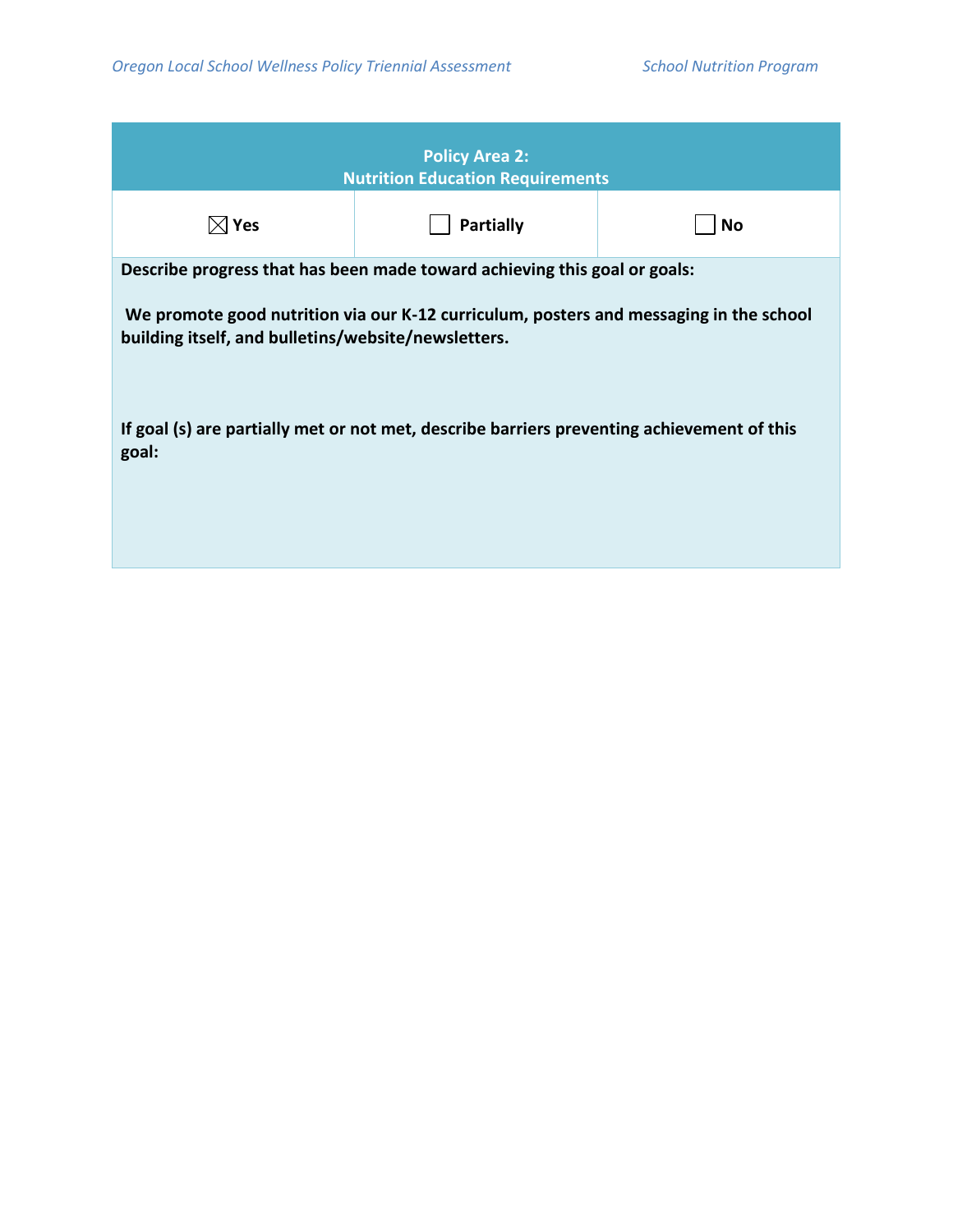| <b>Policy Area 2:</b><br><b>Nutrition Education Requirements</b>                                                                              |                  |           |  |
|-----------------------------------------------------------------------------------------------------------------------------------------------|------------------|-----------|--|
| $\boxtimes$ Yes                                                                                                                               | <b>Partially</b> | <b>No</b> |  |
| Describe progress that has been made toward achieving this goal or goals:                                                                     |                  |           |  |
| We promote good nutrition via our K-12 curriculum, posters and messaging in the school<br>building itself, and bulletins/website/newsletters. |                  |           |  |
| If goal (s) are partially met or not met, describe barriers preventing achievement of this<br>goal:                                           |                  |           |  |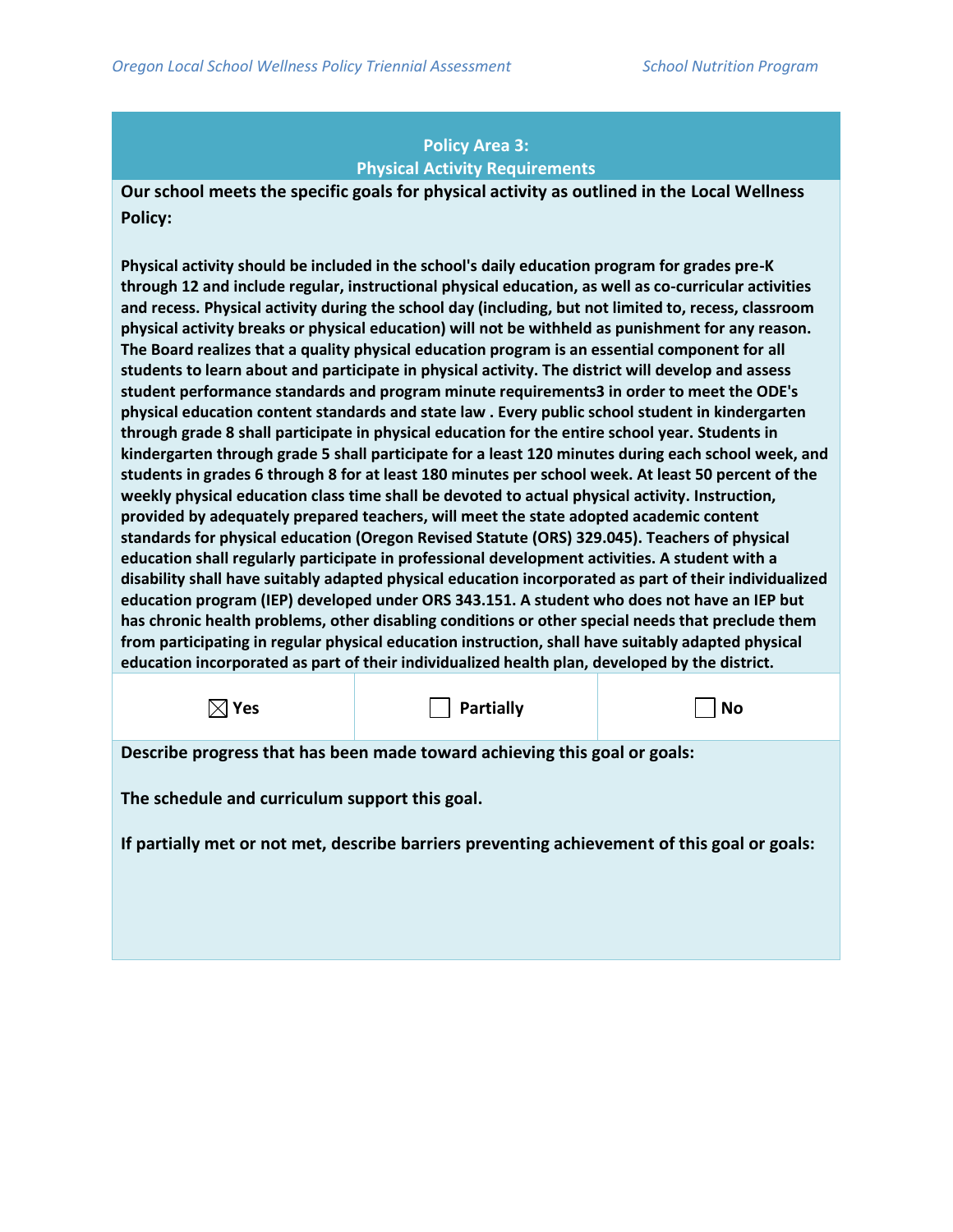## **Policy Area 3: Physical Activity Requirements**

**Our school meets the specific goals for physical activity as outlined in the Local Wellness Policy:**

**Physical activity should be included in the school's daily education program for grades pre-K through 12 and include regular, instructional physical education, as well as co-curricular activities and recess. Physical activity during the school day (including, but not limited to, recess, classroom physical activity breaks or physical education) will not be withheld as punishment for any reason. The Board realizes that a quality physical education program is an essential component for all students to learn about and participate in physical activity. The district will develop and assess student performance standards and program minute requirements3 in order to meet the ODE's physical education content standards and state law . Every public school student in kindergarten through grade 8 shall participate in physical education for the entire school year. Students in kindergarten through grade 5 shall participate for a least 120 minutes during each school week, and students in grades 6 through 8 for at least 180 minutes per school week. At least 50 percent of the weekly physical education class time shall be devoted to actual physical activity. Instruction, provided by adequately prepared teachers, will meet the state adopted academic content standards for physical education (Oregon Revised Statute (ORS) 329.045). Teachers of physical education shall regularly participate in professional development activities. A student with a disability shall have suitably adapted physical education incorporated as part of their individualized education program (IEP) developed under ORS 343.151. A student who does not have an IEP but has chronic health problems, other disabling conditions or other special needs that preclude them from participating in regular physical education instruction, shall have suitably adapted physical education incorporated as part of their individualized health plan, developed by the district.**

**Yes Partially No**

**Describe progress that has been made toward achieving this goal or goals:**

**The schedule and curriculum support this goal.**

**If partially met or not met, describe barriers preventing achievement of this goal or goals:**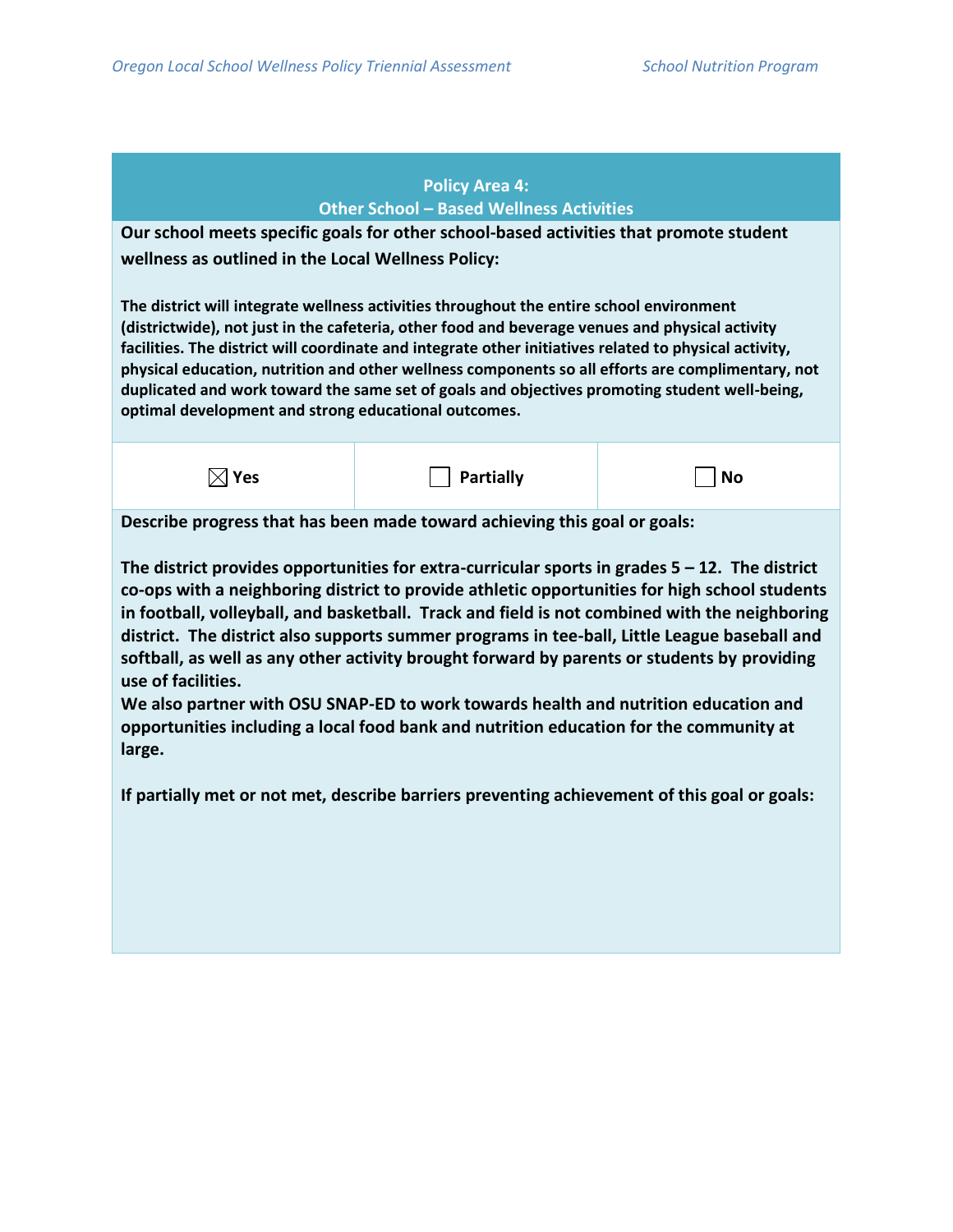**large.**

# **Policy Area 4: Other School – Based Wellness Activities Our school meets specific goals for other school-based activities that promote student wellness as outlined in the Local Wellness Policy: The district will integrate wellness activities throughout the entire school environment (districtwide), not just in the cafeteria, other food and beverage venues and physical activity facilities. The district will coordinate and integrate other initiatives related to physical activity, physical education, nutrition and other wellness components so all efforts are complimentary, not duplicated and work toward the same set of goals and objectives promoting student well-being, optimal development and strong educational outcomes.**  $\boxtimes$  Yes  $\Box$  Partially  $\Box$  No **Describe progress that has been made toward achieving this goal or goals: The district provides opportunities for extra-curricular sports in grades 5 – 12. The district co-ops with a neighboring district to provide athletic opportunities for high school students in football, volleyball, and basketball. Track and field is not combined with the neighboring district. The district also supports summer programs in tee-ball, Little League baseball and softball, as well as any other activity brought forward by parents or students by providing use of facilities. We also partner with OSU SNAP-ED to work towards health and nutrition education and opportunities including a local food bank and nutrition education for the community at**

**If partially met or not met, describe barriers preventing achievement of this goal or goals:**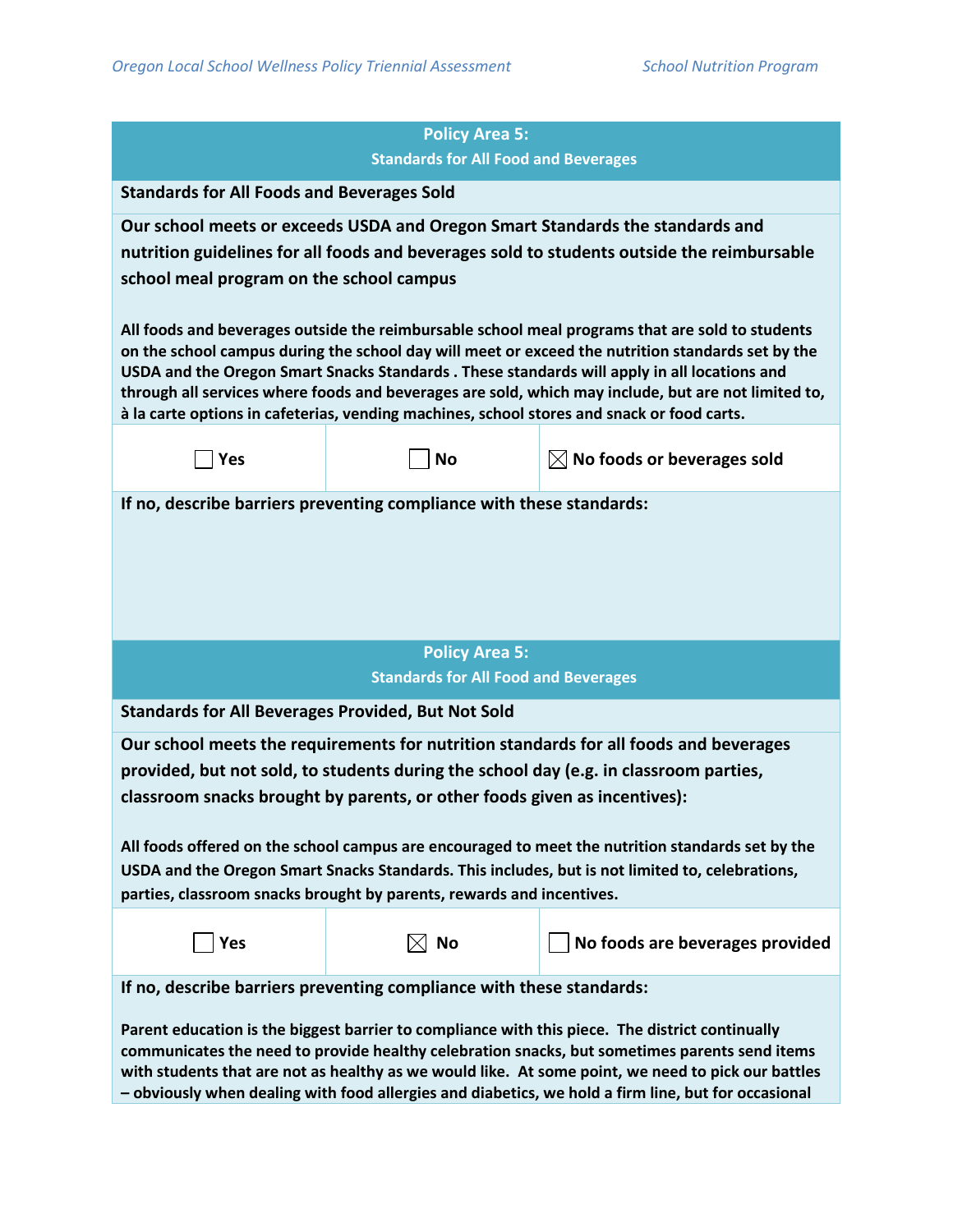|                                                                                                                                                                                                                                                                                                                                                                                                               | <b>Policy Area 5:</b><br><b>Standards for All Food and Beverages</b>      |                                                                                                                                                                             |  |
|---------------------------------------------------------------------------------------------------------------------------------------------------------------------------------------------------------------------------------------------------------------------------------------------------------------------------------------------------------------------------------------------------------------|---------------------------------------------------------------------------|-----------------------------------------------------------------------------------------------------------------------------------------------------------------------------|--|
| <b>Standards for All Foods and Beverages Sold</b>                                                                                                                                                                                                                                                                                                                                                             |                                                                           |                                                                                                                                                                             |  |
|                                                                                                                                                                                                                                                                                                                                                                                                               |                                                                           |                                                                                                                                                                             |  |
|                                                                                                                                                                                                                                                                                                                                                                                                               |                                                                           | Our school meets or exceeds USDA and Oregon Smart Standards the standards and<br>nutrition guidelines for all foods and beverages sold to students outside the reimbursable |  |
| school meal program on the school campus                                                                                                                                                                                                                                                                                                                                                                      |                                                                           |                                                                                                                                                                             |  |
|                                                                                                                                                                                                                                                                                                                                                                                                               |                                                                           |                                                                                                                                                                             |  |
| All foods and beverages outside the reimbursable school meal programs that are sold to students<br>on the school campus during the school day will meet or exceed the nutrition standards set by the<br>USDA and the Oregon Smart Snacks Standards . These standards will apply in all locations and                                                                                                          |                                                                           |                                                                                                                                                                             |  |
|                                                                                                                                                                                                                                                                                                                                                                                                               |                                                                           | through all services where foods and beverages are sold, which may include, but are not limited to,                                                                         |  |
|                                                                                                                                                                                                                                                                                                                                                                                                               |                                                                           | à la carte options in cafeterias, vending machines, school stores and snack or food carts.                                                                                  |  |
| Yes                                                                                                                                                                                                                                                                                                                                                                                                           | <b>No</b>                                                                 | $\boxtimes$ No foods or beverages sold                                                                                                                                      |  |
|                                                                                                                                                                                                                                                                                                                                                                                                               | If no, describe barriers preventing compliance with these standards:      |                                                                                                                                                                             |  |
|                                                                                                                                                                                                                                                                                                                                                                                                               |                                                                           |                                                                                                                                                                             |  |
|                                                                                                                                                                                                                                                                                                                                                                                                               |                                                                           |                                                                                                                                                                             |  |
|                                                                                                                                                                                                                                                                                                                                                                                                               |                                                                           |                                                                                                                                                                             |  |
|                                                                                                                                                                                                                                                                                                                                                                                                               |                                                                           |                                                                                                                                                                             |  |
|                                                                                                                                                                                                                                                                                                                                                                                                               | <b>Policy Area 5:</b>                                                     |                                                                                                                                                                             |  |
|                                                                                                                                                                                                                                                                                                                                                                                                               | <b>Standards for All Food and Beverages</b>                               |                                                                                                                                                                             |  |
| <b>Standards for All Beverages Provided, But Not Sold</b>                                                                                                                                                                                                                                                                                                                                                     |                                                                           |                                                                                                                                                                             |  |
|                                                                                                                                                                                                                                                                                                                                                                                                               |                                                                           | Our school meets the requirements for nutrition standards for all foods and beverages                                                                                       |  |
|                                                                                                                                                                                                                                                                                                                                                                                                               |                                                                           | provided, but not sold, to students during the school day (e.g. in classroom parties,                                                                                       |  |
|                                                                                                                                                                                                                                                                                                                                                                                                               | classroom snacks brought by parents, or other foods given as incentives): |                                                                                                                                                                             |  |
| All foods offered on the school campus are encouraged to meet the nutrition standards set by the                                                                                                                                                                                                                                                                                                              |                                                                           |                                                                                                                                                                             |  |
| USDA and the Oregon Smart Snacks Standards. This includes, but is not limited to, celebrations,                                                                                                                                                                                                                                                                                                               |                                                                           |                                                                                                                                                                             |  |
|                                                                                                                                                                                                                                                                                                                                                                                                               | parties, classroom snacks brought by parents, rewards and incentives.     |                                                                                                                                                                             |  |
| Yes                                                                                                                                                                                                                                                                                                                                                                                                           | $\boxtimes$ No                                                            | No foods are beverages provided                                                                                                                                             |  |
|                                                                                                                                                                                                                                                                                                                                                                                                               |                                                                           |                                                                                                                                                                             |  |
|                                                                                                                                                                                                                                                                                                                                                                                                               | If no, describe barriers preventing compliance with these standards:      |                                                                                                                                                                             |  |
| Parent education is the biggest barrier to compliance with this piece. The district continually<br>communicates the need to provide healthy celebration snacks, but sometimes parents send items<br>with students that are not as healthy as we would like. At some point, we need to pick our battles<br>- obviously when dealing with food allergies and diabetics, we hold a firm line, but for occasional |                                                                           |                                                                                                                                                                             |  |
|                                                                                                                                                                                                                                                                                                                                                                                                               |                                                                           |                                                                                                                                                                             |  |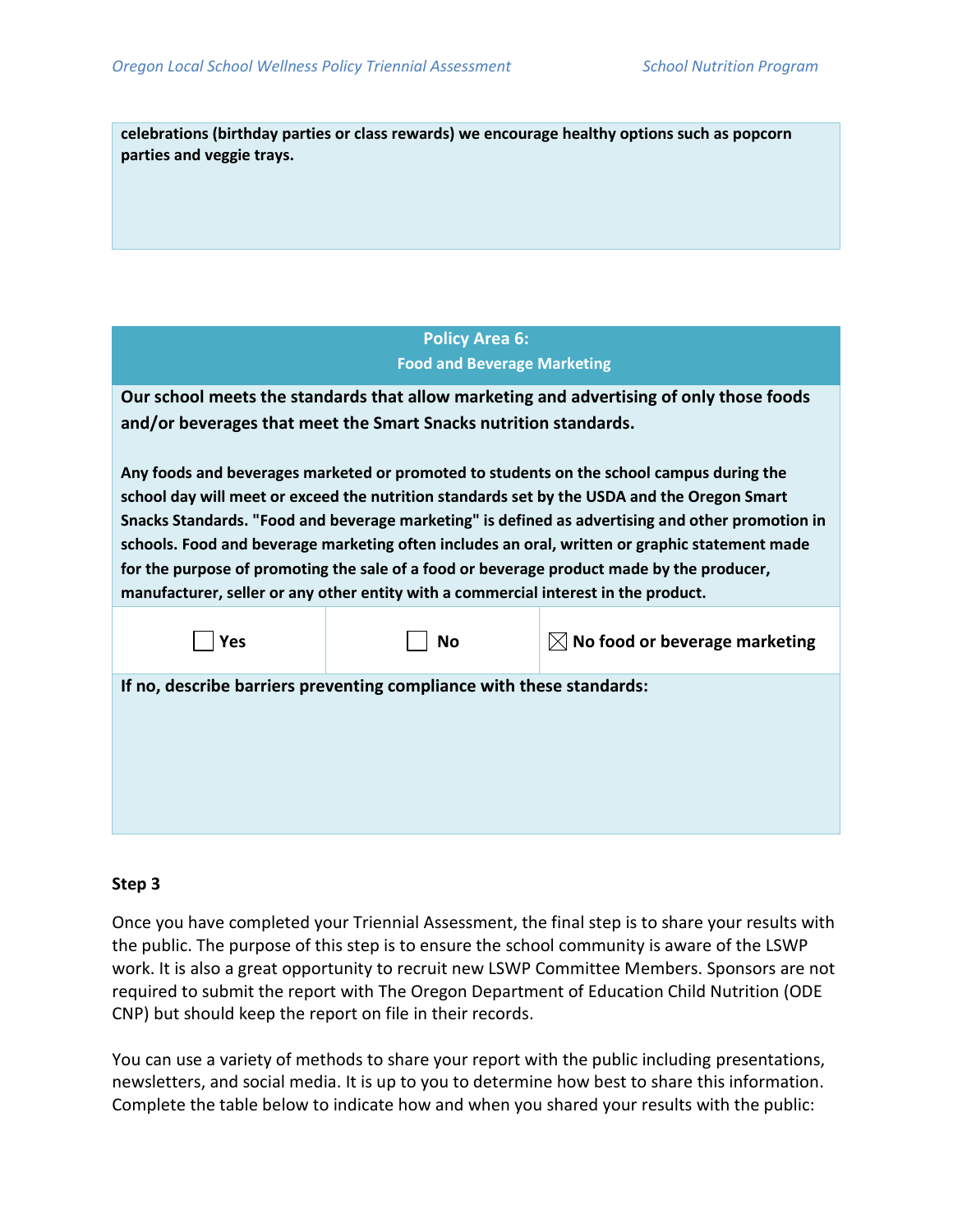**celebrations (birthday parties or class rewards) we encourage healthy options such as popcorn parties and veggie trays.**

| <b>Policy Area 6:</b>              |  |
|------------------------------------|--|
| <b>Food and Beverage Marketing</b> |  |

**Our school meets the standards that allow marketing and advertising of only those foods and/or beverages that meet the Smart Snacks nutrition standards.**

**Any foods and beverages marketed or promoted to students on the school campus during the school day will meet or exceed the nutrition standards set by the USDA and the Oregon Smart Snacks Standards. "Food and beverage marketing" is defined as advertising and other promotion in schools. Food and beverage marketing often includes an oral, written or graphic statement made for the purpose of promoting the sale of a food or beverage product made by the producer, manufacturer, seller or any other entity with a commercial interest in the product.**

| Yes | <b>No</b>                                                            | $\boxtimes$ No food or beverage marketing |
|-----|----------------------------------------------------------------------|-------------------------------------------|
|     | If no, describe barriers preventing compliance with these standards: |                                           |
|     |                                                                      |                                           |
|     |                                                                      |                                           |
|     |                                                                      |                                           |

#### **Step 3**

Once you have completed your Triennial Assessment, the final step is to share your results with the public. The purpose of this step is to ensure the school community is aware of the LSWP work. It is also a great opportunity to recruit new LSWP Committee Members. Sponsors are not required to submit the report with The Oregon Department of Education Child Nutrition (ODE CNP) but should keep the report on file in their records.

You can use a variety of methods to share your report with the public including presentations, newsletters, and social media. It is up to you to determine how best to share this information. Complete the table below to indicate how and when you shared your results with the public: